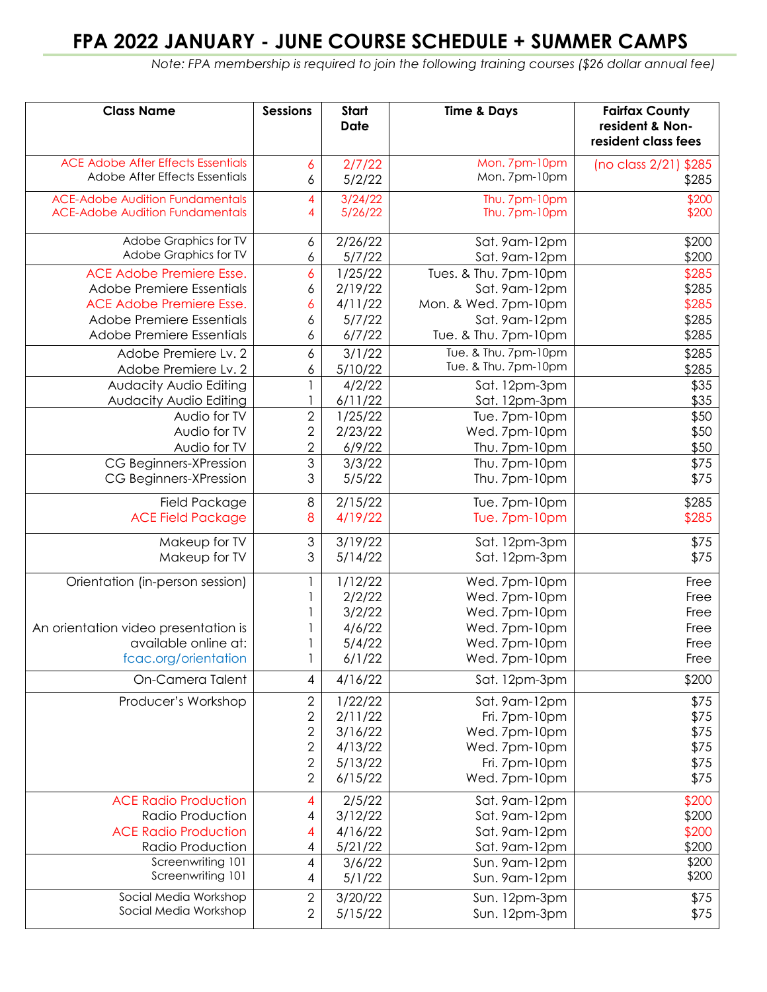## **FPA 2022 JANUARY - JUNE COURSE SCHEDULE + SUMMER CAMPS**

 *Note: FPA membership is required to join the following training courses (\$26 dollar annual fee)*

| <b>Class Name</b>                         | <b>Sessions</b> | Start<br><b>Date</b> | <b>Time &amp; Days</b> | <b>Fairfax County</b><br>resident & Non-<br>resident class fees |
|-------------------------------------------|-----------------|----------------------|------------------------|-----------------------------------------------------------------|
| <b>ACE Adobe After Effects Essentials</b> | 6               | 2/7/22               | Mon. 7pm-10pm          | (no class 2/21) \$285                                           |
| Adobe After Effects Essentials            | 6               | 5/2/22               | Mon. 7pm-10pm          | \$285                                                           |
| <b>ACE-Adobe Audition Fundamentals</b>    | 4               | 3/24/22              | Thu. 7pm-10pm          | \$200                                                           |
| <b>ACE-Adobe Audition Fundamentals</b>    | 4               | 5/26/22              | Thu. 7pm-10pm          | \$200                                                           |
| Adobe Graphics for TV                     | 6               | 2/26/22              | Sat. 9am-12pm          | \$200                                                           |
| Adobe Graphics for TV                     | 6               | 5/7/22               | Sat. 9am-12pm          | \$200                                                           |
| <b>ACE Adobe Premiere Esse.</b>           | 6               | 1/25/22              | Tues. & Thu. 7pm-10pm  | \$285                                                           |
| Adobe Premiere Essentials                 | 6               | 2/19/22              | Sat. 9am-12pm          | \$285                                                           |
| ACE Adobe Premiere Esse.                  | 6               | 4/11/22              | Mon. & Wed. 7pm-10pm   | \$285                                                           |
| Adobe Premiere Essentials                 | 6               | 5/7/22               | Sat. 9am-12pm          | \$285                                                           |
| Adobe Premiere Essentials                 | 6               | 6/7/22               | Tue. & Thu. 7pm-10pm   | \$285                                                           |
| Adobe Premiere Lv. 2                      | 6               | 3/1/22               | Tue. & Thu. 7pm-10pm   | \$285                                                           |
| Adobe Premiere Lv. 2                      | 6               | 5/10/22              | Tue. & Thu. 7pm-10pm   | \$285                                                           |
| Audacity Audio Editing                    |                 | 4/2/22               | Sat. 12pm-3pm          | \$35                                                            |
| Audacity Audio Editing                    |                 | 6/11/22              | Sat. 12pm-3pm          | \$35                                                            |
| Audio for TV                              | $\sqrt{2}$      | 1/25/22              | Tue. 7pm-10pm          | \$50                                                            |
| Audio for TV                              | $\sqrt{2}$      | 2/23/22              | Wed. 7pm-10pm          | \$50                                                            |
| Audio for TV                              | $\overline{2}$  | 6/9/22               | Thu. 7pm-10pm          | \$50                                                            |
| CG Beginners-XPression                    | 3               | 3/3/22               | Thu. 7pm-10pm          | \$75                                                            |
| CG Beginners-XPression                    | 3               | 5/5/22               | Thu. 7pm-10pm          | \$75                                                            |
| <b>Field Package</b>                      | 8               | 2/15/22              | Tue. 7pm-10pm          | \$285                                                           |
| <b>ACE Field Package</b>                  | 8               | 4/19/22              | Tue. 7pm-10pm          | \$285                                                           |
| Makeup for TV                             | 3               | 3/19/22              | Sat. 12pm-3pm          | \$75                                                            |
| Makeup for TV                             | 3               | 5/14/22              | Sat. 12pm-3pm          | \$75                                                            |
| Orientation (in-person session)           |                 | 1/12/22              | Wed. 7pm-10pm          | Free                                                            |
|                                           |                 | 2/2/22               | Wed. 7pm-10pm          | Free                                                            |
|                                           |                 | 3/2/22               | Wed. 7pm-10pm          | Free                                                            |
| An orientation video presentation is      |                 | 4/6/22               | Wed. 7pm-10pm          | Free                                                            |
| available online at:                      |                 | 5/4/22               | Wed. 7pm-10pm          | Free                                                            |
| fcac.org/orientation                      |                 | 6/1/22               | Wed. 7pm-10pm          | Free                                                            |
| On-Camera Talent                          | 4               | 4/16/22              | Sat. 12pm-3pm          | \$200                                                           |
| Producer's Workshop                       | 2               | 1/22/22              | Sat. 9am-12pm          | \$75                                                            |
|                                           | $\sqrt{2}$      | 2/11/22              | Fri. 7pm-10pm          | \$75                                                            |
|                                           | $\sqrt{2}$      | 3/16/22              | Wed. 7pm-10pm          | \$75                                                            |
|                                           | $\sqrt{2}$      | 4/13/22              | Wed. 7pm-10pm          | \$75                                                            |
|                                           | $\sqrt{2}$      | 5/13/22              | Fri. 7pm-10pm          | \$75                                                            |
|                                           | $\overline{2}$  | 6/15/22              | Wed. 7pm-10pm          | \$75                                                            |
| <b>ACE Radio Production</b>               | 4               | 2/5/22               | Sat. 9am-12pm          | \$200                                                           |
| Radio Production                          | 4               | 3/12/22              | Sat. 9am-12pm          | \$200                                                           |
| <b>ACE Radio Production</b>               | 4               | 4/16/22              | Sat. 9am-12pm          | \$200                                                           |
| Radio Production                          | 4               | 5/21/22              | Sat. 9am-12pm          | \$200                                                           |
| Screenwriting 101<br>Screenwriting 101    | 4               | 3/6/22               | Sun. 9am-12pm          | \$200<br>\$200                                                  |
|                                           | 4               | 5/1/22               | Sun. 9am-12pm          |                                                                 |
| Social Media Workshop                     | $\sqrt{2}$      | 3/20/22              | Sun. 12pm-3pm          | \$75                                                            |
| Social Media Workshop                     | $\mathbf{2}$    | 5/15/22              | Sun. 12pm-3pm          | \$75                                                            |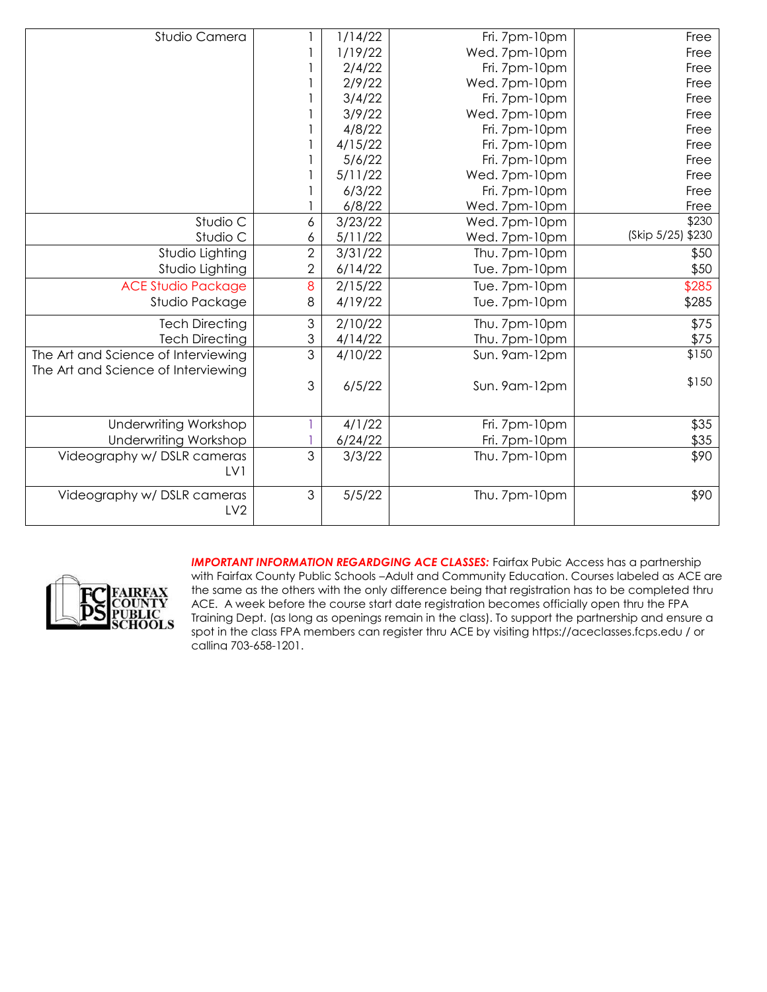| Studio Camera                       |                | 1/14/22 | Fri. 7pm-10pm | Free              |
|-------------------------------------|----------------|---------|---------------|-------------------|
|                                     |                | 1/19/22 | Wed. 7pm-10pm | Free              |
|                                     |                | 2/4/22  | Fri. 7pm-10pm | Free              |
|                                     |                | 2/9/22  | Wed. 7pm-10pm | Free              |
|                                     |                | 3/4/22  | Fri. 7pm-10pm | Free              |
|                                     |                | 3/9/22  | Wed. 7pm-10pm | Free              |
|                                     |                | 4/8/22  | Fri. 7pm-10pm | Free              |
|                                     |                | 4/15/22 | Fri. 7pm-10pm | Free              |
|                                     |                | 5/6/22  | Fri. 7pm-10pm | Free              |
|                                     |                | 5/11/22 | Wed. 7pm-10pm | Free              |
|                                     |                | 6/3/22  | Fri. 7pm-10pm | Free              |
|                                     |                | 6/8/22  | Wed. 7pm-10pm | Free              |
| Studio C                            | 6              | 3/23/22 | Wed. 7pm-10pm | \$230             |
| Studio C                            | 6              | 5/11/22 | Wed. 7pm-10pm | (Skip 5/25) \$230 |
| Studio Lighting                     | $\overline{2}$ | 3/31/22 | Thu. 7pm-10pm | \$50              |
| Studio Lighting                     | 2              | 6/14/22 | Tue. 7pm-10pm | \$50              |
| <b>ACE Studio Package</b>           | 8              | 2/15/22 | Tue. 7pm-10pm | \$285             |
| Studio Package                      | 8              | 4/19/22 | Tue. 7pm-10pm | \$285             |
| <b>Tech Directing</b>               | 3              | 2/10/22 | Thu. 7pm-10pm | \$75              |
| <b>Tech Directing</b>               | 3              | 4/14/22 | Thu. 7pm-10pm | \$75              |
| The Art and Science of Interviewing | 3              | 4/10/22 | Sun. 9am-12pm | \$150             |
| The Art and Science of Interviewing |                |         |               |                   |
|                                     | $\mathfrak{Z}$ | 6/5/22  | Sun. 9am-12pm | \$150             |
|                                     |                |         |               |                   |
| <b>Underwriting Workshop</b>        |                | 4/1/22  | Fri. 7pm-10pm | \$35              |
| <b>Underwriting Workshop</b>        |                | 6/24/22 | Fri. 7pm-10pm | \$35              |
| Videography w/ DSLR cameras         | 3              | 3/3/22  | Thu. 7pm-10pm | \$90              |
| LV1                                 |                |         |               |                   |
| Videography w/ DSLR cameras         | $\mathfrak{S}$ | 5/5/22  | Thu. 7pm-10pm | \$90              |
| LV <sub>2</sub>                     |                |         |               |                   |
|                                     |                |         |               |                   |



**IMPORTANT INFORMATION REGARDGING ACE CLASSES:** Fairfax Pubic Access has a partnership with Fairfax County Public Schools –Adult and Community Education. Courses labeled as ACE are the same as the others with the only difference being that registration has to be completed thru ACE. A week before the course start date registration becomes officially open thru the FPA Training Dept. (as long as openings remain in the class). To support the partnership and ensure a spot in the class FPA members can register thru ACE by visiting https://aceclasses.fcps.edu / or calling 703-658-1201.